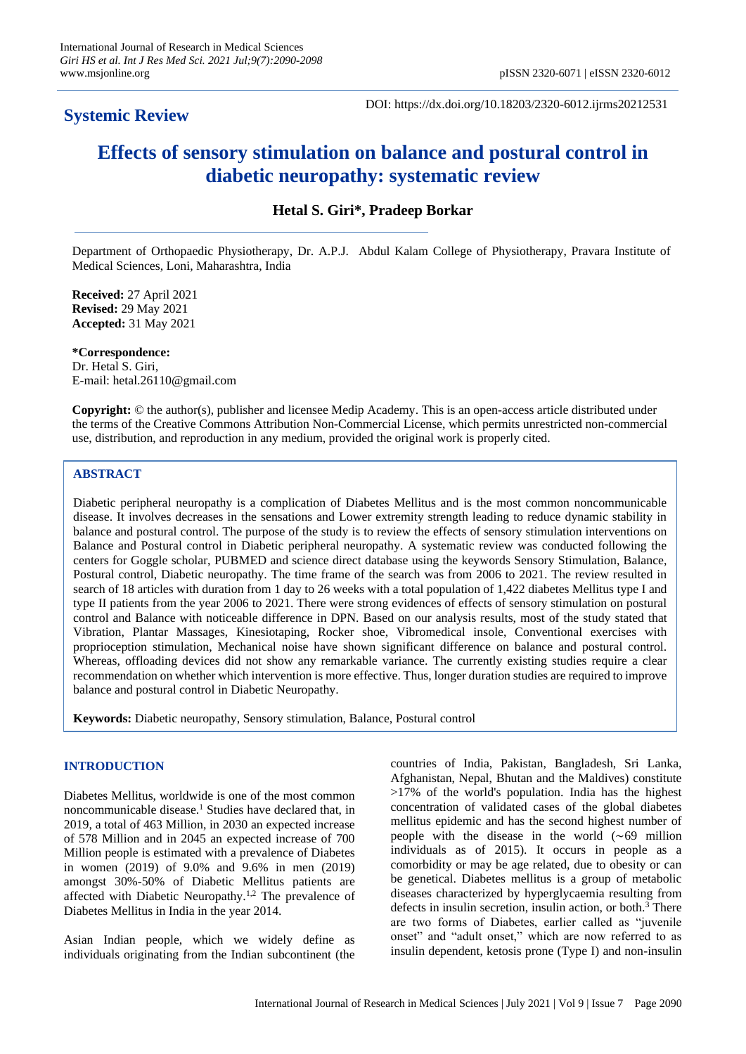# **Systemic Review**

DOI: https://dx.doi.org/10.18203/2320-6012.ijrms20212531

# **Effects of sensory stimulation on balance and postural control in diabetic neuropathy: systematic review**

# **Hetal S. Giri\*, Pradeep Borkar**

Department of Orthopaedic Physiotherapy, Dr. A.P.J. Abdul Kalam College of Physiotherapy, Pravara Institute of Medical Sciences, Loni, Maharashtra, India

**Received:** 27 April 2021 **Revised:** 29 May 2021 **Accepted:** 31 May 2021

**\*Correspondence:** Dr. Hetal S. Giri, E-mail: hetal.26110@gmail.com

**Copyright:** © the author(s), publisher and licensee Medip Academy. This is an open-access article distributed under the terms of the Creative Commons Attribution Non-Commercial License, which permits unrestricted non-commercial use, distribution, and reproduction in any medium, provided the original work is properly cited.

## **ABSTRACT**

Diabetic peripheral neuropathy is a complication of Diabetes Mellitus and is the most common noncommunicable disease. It involves decreases in the sensations and Lower extremity strength leading to reduce dynamic stability in balance and postural control. The purpose of the study is to review the effects of sensory stimulation interventions on Balance and Postural control in Diabetic peripheral neuropathy. A systematic review was conducted following the centers for Goggle scholar, PUBMED and science direct database using the keywords Sensory Stimulation, Balance, Postural control, Diabetic neuropathy. The time frame of the search was from 2006 to 2021. The review resulted in search of 18 articles with duration from 1 day to 26 weeks with a total population of 1,422 diabetes Mellitus type I and type II patients from the year 2006 to 2021. There were strong evidences of effects of sensory stimulation on postural control and Balance with noticeable difference in DPN. Based on our analysis results, most of the study stated that Vibration, Plantar Massages, Kinesiotaping, Rocker shoe, Vibromedical insole, Conventional exercises with proprioception stimulation, Mechanical noise have shown significant difference on balance and postural control. Whereas, offloading devices did not show any remarkable variance. The currently existing studies require a clear recommendation on whether which intervention is more effective. Thus, longer duration studies are required to improve balance and postural control in Diabetic Neuropathy.

**Keywords:** Diabetic neuropathy, Sensory stimulation, Balance, Postural control

#### **INTRODUCTION**

Diabetes Mellitus, worldwide is one of the most common noncommunicable disease.<sup>1</sup> Studies have declared that, in 2019, a total of 463 Million, in 2030 an expected increase of 578 Million and in 2045 an expected increase of 700 Million people is estimated with a prevalence of Diabetes in women (2019) of 9.0% and 9.6% in men (2019) amongst 30%-50% of Diabetic Mellitus patients are affected with Diabetic Neuropathy.1,2 The prevalence of Diabetes Mellitus in India in the year 2014.

Asian Indian people, which we widely define as individuals originating from the Indian subcontinent (the countries of India, Pakistan, Bangladesh, Sri Lanka, Afghanistan, Nepal, Bhutan and the Maldives) constitute >17% of the world's population. India has the highest concentration of validated cases of the global diabetes mellitus epidemic and has the second highest number of people with the disease in the world (∼69 million individuals as of 2015). It occurs in people as a comorbidity or may be age related, due to obesity or can be genetical. Diabetes mellitus is a group of metabolic diseases characterized by hyperglycaemia resulting from defects in insulin secretion, insulin action, or both.<sup>3</sup> There are two forms of Diabetes, earlier called as "juvenile onset" and "adult onset," which are now referred to as insulin dependent, ketosis prone (Type I) and non-insulin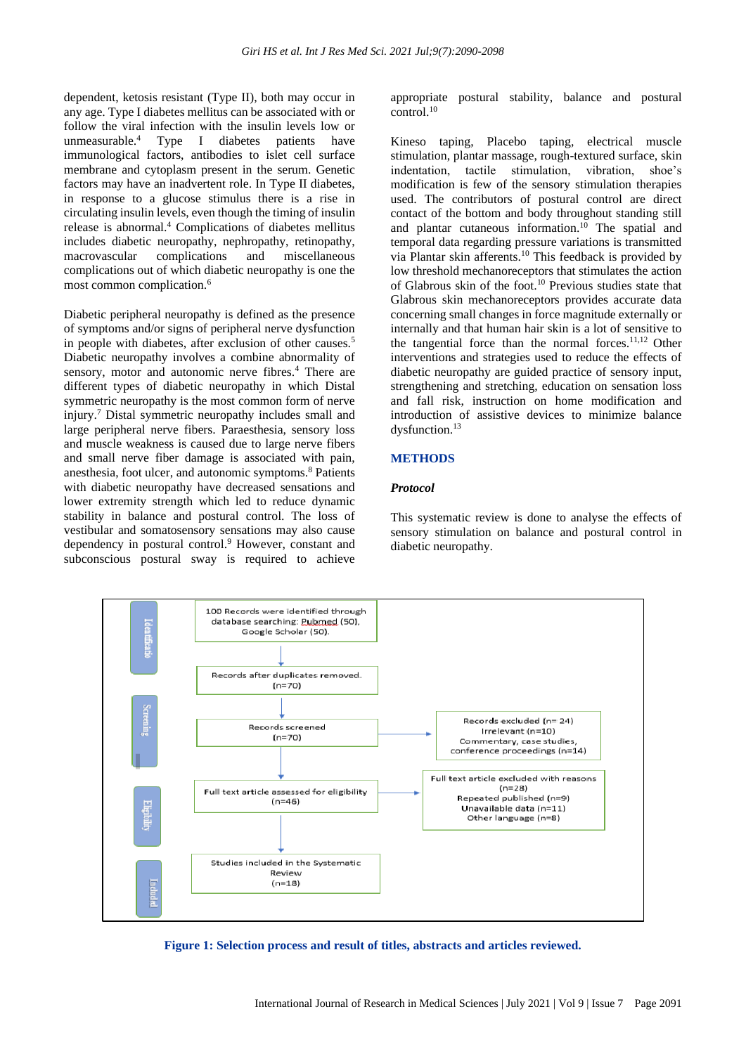dependent, ketosis resistant (Type II), both may occur in any age. Type I diabetes mellitus can be associated with or follow the viral infection with the insulin levels low or unmeasurable.<sup>4</sup> Type I diabetes patients have immunological factors, antibodies to islet cell surface membrane and cytoplasm present in the serum. Genetic factors may have an inadvertent role. In Type II diabetes, in response to a glucose stimulus there is a rise in circulating insulin levels, even though the timing of insulin release is abnormal.<sup>4</sup> Complications of diabetes mellitus includes diabetic neuropathy, nephropathy, retinopathy, macrovascular complications and miscellaneous complications out of which diabetic neuropathy is one the most common complication.<sup>6</sup>

Diabetic peripheral neuropathy is defined as the presence of symptoms and/or signs of peripheral nerve dysfunction in people with diabetes, after exclusion of other causes.<sup>5</sup> Diabetic neuropathy involves a combine abnormality of sensory, motor and autonomic nerve fibres.<sup>4</sup> There are different types of diabetic neuropathy in which Distal symmetric neuropathy is the most common form of nerve injury.<sup>7</sup> Distal symmetric neuropathy includes small and large peripheral nerve fibers. Paraesthesia, sensory loss and muscle weakness is caused due to large nerve fibers and small nerve fiber damage is associated with pain, anesthesia, foot ulcer, and autonomic symptoms.<sup>8</sup> Patients with diabetic neuropathy have decreased sensations and lower extremity strength which led to reduce dynamic stability in balance and postural control. The loss of vestibular and somatosensory sensations may also cause dependency in postural control.<sup>9</sup> However, constant and subconscious postural sway is required to achieve

appropriate postural stability, balance and postural control.<sup>10</sup>

Kineso taping, Placebo taping, electrical muscle stimulation, plantar massage, rough-textured surface, skin indentation, tactile stimulation, vibration, shoe's modification is few of the sensory stimulation therapies used. The contributors of postural control are direct contact of the bottom and body throughout standing still and plantar cutaneous information. $10$  The spatial and temporal data regarding pressure variations is transmitted via Plantar skin afferents.<sup>10</sup> This feedback is provided by low threshold mechanoreceptors that stimulates the action of Glabrous skin of the foot.<sup>10</sup> Previous studies state that Glabrous skin mechanoreceptors provides accurate data concerning small changes in force magnitude externally or internally and that human hair skin is a lot of sensitive to the tangential force than the normal forces.<sup>11,12</sup> Other interventions and strategies used to reduce the effects of diabetic neuropathy are guided practice of sensory input, strengthening and stretching, education on sensation loss and fall risk, instruction on home modification and introduction of assistive devices to minimize balance dysfunction.<sup>13</sup>

#### **METHODS**

#### *Protocol*

This systematic review is done to analyse the effects of sensory stimulation on balance and postural control in diabetic neuropathy.



**Figure 1: Selection process and result of titles, abstracts and articles reviewed.**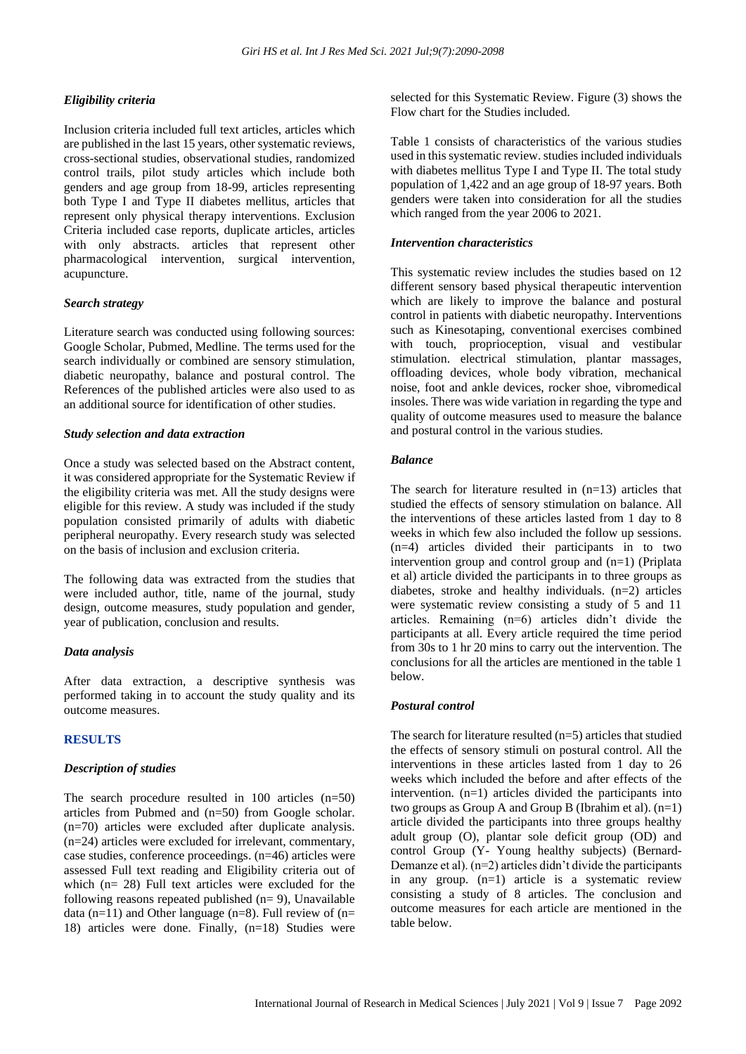#### *Eligibility criteria*

Inclusion criteria included full text articles, articles which are published in the last 15 years, other systematic reviews, cross-sectional studies, observational studies, randomized control trails, pilot study articles which include both genders and age group from 18-99, articles representing both Type I and Type II diabetes mellitus, articles that represent only physical therapy interventions. Exclusion Criteria included case reports, duplicate articles, articles with only abstracts. articles that represent other pharmacological intervention, surgical intervention, acupuncture.

#### *Search strategy*

Literature search was conducted using following sources: Google Scholar, Pubmed, Medline. The terms used for the search individually or combined are sensory stimulation, diabetic neuropathy, balance and postural control. The References of the published articles were also used to as an additional source for identification of other studies.

#### *Study selection and data extraction*

Once a study was selected based on the Abstract content, it was considered appropriate for the Systematic Review if the eligibility criteria was met. All the study designs were eligible for this review. A study was included if the study population consisted primarily of adults with diabetic peripheral neuropathy. Every research study was selected on the basis of inclusion and exclusion criteria.

The following data was extracted from the studies that were included author, title, name of the journal, study design, outcome measures, study population and gender, year of publication, conclusion and results.

#### *Data analysis*

After data extraction, a descriptive synthesis was performed taking in to account the study quality and its outcome measures.

# **RESULTS**

#### *Description of studies*

The search procedure resulted in 100 articles (n=50) articles from Pubmed and (n=50) from Google scholar. (n=70) articles were excluded after duplicate analysis. (n=24) articles were excluded for irrelevant, commentary, case studies, conference proceedings. (n=46) articles were assessed Full text reading and Eligibility criteria out of which (n= 28) Full text articles were excluded for the following reasons repeated published  $(n= 9)$ , Unavailable data (n=11) and Other language (n=8). Full review of (n= 18) articles were done. Finally, (n=18) Studies were selected for this Systematic Review. Figure (3) shows the Flow chart for the Studies included.

Table 1 consists of characteristics of the various studies used in this systematic review. studies included individuals with diabetes mellitus Type I and Type II. The total study population of 1,422 and an age group of 18-97 years. Both genders were taken into consideration for all the studies which ranged from the year 2006 to 2021.

#### *Intervention characteristics*

This systematic review includes the studies based on 12 different sensory based physical therapeutic intervention which are likely to improve the balance and postural control in patients with diabetic neuropathy. Interventions such as Kinesotaping, conventional exercises combined with touch, proprioception, visual and vestibular stimulation. electrical stimulation, plantar massages, offloading devices, whole body vibration, mechanical noise, foot and ankle devices, rocker shoe, vibromedical insoles. There was wide variation in regarding the type and quality of outcome measures used to measure the balance and postural control in the various studies.

#### *Balance*

The search for literature resulted in  $(n=13)$  articles that studied the effects of sensory stimulation on balance. All the interventions of these articles lasted from 1 day to 8 weeks in which few also included the follow up sessions. (n=4) articles divided their participants in to two intervention group and control group and (n=1) (Priplata et al) article divided the participants in to three groups as diabetes, stroke and healthy individuals. (n=2) articles were systematic review consisting a study of 5 and 11 articles. Remaining (n=6) articles didn't divide the participants at all. Every article required the time period from 30s to 1 hr 20 mins to carry out the intervention. The conclusions for all the articles are mentioned in the table 1 below.

#### *Postural control*

The search for literature resulted (n=5) articles that studied the effects of sensory stimuli on postural control. All the interventions in these articles lasted from 1 day to 26 weeks which included the before and after effects of the intervention. (n=1) articles divided the participants into two groups as Group A and Group B (Ibrahim et al).  $(n=1)$ article divided the participants into three groups healthy adult group (O), plantar sole deficit group (OD) and control Group (Y- Young healthy subjects) (Bernard-Demanze et al).  $(n=2)$  articles didn't divide the participants in any group. (n=1) article is a systematic review consisting a study of 8 articles. The conclusion and outcome measures for each article are mentioned in the table below.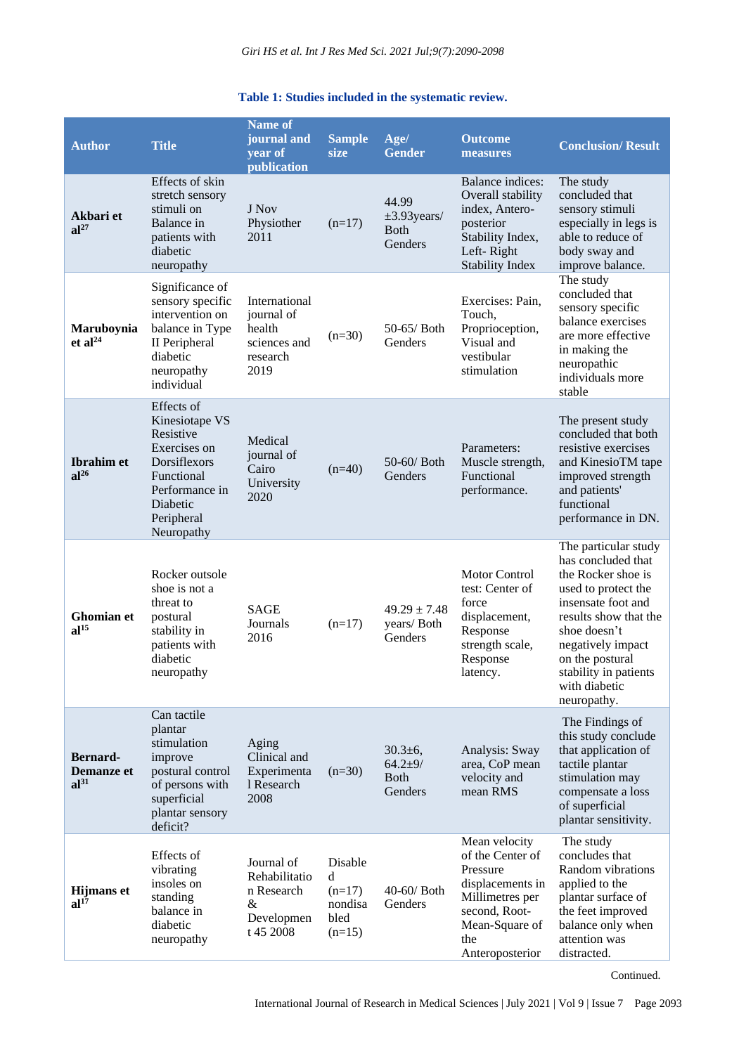# **Table 1: Studies included in the systematic review.**

| <b>Author</b>                                     | <b>Title</b>                                                                                                                                      | <b>Name of</b><br>journal and<br>year of<br>publication                   | <b>Sample</b><br>size                                   | Age/<br><b>Gender</b>                                   | <b>Outcome</b><br>measures                                                                                                                        | <b>Conclusion/Result</b>                                                                                                                                                                                                                                |
|---------------------------------------------------|---------------------------------------------------------------------------------------------------------------------------------------------------|---------------------------------------------------------------------------|---------------------------------------------------------|---------------------------------------------------------|---------------------------------------------------------------------------------------------------------------------------------------------------|---------------------------------------------------------------------------------------------------------------------------------------------------------------------------------------------------------------------------------------------------------|
| Akbari et<br>$al^{27}$                            | Effects of skin<br>stretch sensory<br>stimuli on<br>Balance in<br>patients with<br>diabetic<br>neuropathy                                         | J Nov<br>Physiother<br>2011                                               | $(n=17)$                                                | 44.99<br>$\pm 3.93$ years/<br><b>Both</b><br>Genders    | Balance indices:<br>Overall stability<br>index, Antero-<br>posterior<br>Stability Index,<br>Left-Right<br><b>Stability Index</b>                  | The study<br>concluded that<br>sensory stimuli<br>especially in legs is<br>able to reduce of<br>body sway and<br>improve balance.                                                                                                                       |
| Maruboynia<br>et al <sup>24</sup>                 | Significance of<br>sensory specific<br>intervention on<br>balance in Type<br>II Peripheral<br>diabetic<br>neuropathy<br>individual                | International<br>journal of<br>health<br>sciences and<br>research<br>2019 | $(n=30)$                                                | 50-65/ Both<br>Genders                                  | Exercises: Pain,<br>Touch,<br>Proprioception,<br>Visual and<br>vestibular<br>stimulation                                                          | The study<br>concluded that<br>sensory specific<br>balance exercises<br>are more effective<br>in making the<br>neuropathic<br>individuals more<br>stable                                                                                                |
| <b>Ibrahim</b> et<br>al <sup>26</sup>             | Effects of<br>Kinesiotape VS<br>Resistive<br>Exercises on<br>Dorsiflexors<br>Functional<br>Performance in<br>Diabetic<br>Peripheral<br>Neuropathy | Medical<br>journal of<br>Cairo<br>University<br>2020                      | $(n=40)$                                                | 50-60/ Both<br>Genders                                  | Parameters:<br>Muscle strength,<br>Functional<br>performance.                                                                                     | The present study<br>concluded that both<br>resistive exercises<br>and KinesioTM tape<br>improved strength<br>and patients'<br>functional<br>performance in DN.                                                                                         |
| Ghomian et<br>al <sup>15</sup>                    | Rocker outsole<br>shoe is not a<br>threat to<br>postural<br>stability in<br>patients with<br>diabetic<br>neuropathy                               | <b>SAGE</b><br>Journals<br>2016                                           | $(n=17)$                                                | $49.29 \pm 7.48$<br>years/Both<br>Genders               | <b>Motor Control</b><br>test: Center of<br>force<br>displacement,<br>Response<br>strength scale,<br>Response<br>latency.                          | The particular study<br>has concluded that<br>the Rocker shoe is<br>used to protect the<br>insensate foot and<br>results show that the<br>shoe doesn't<br>negatively impact<br>on the postural<br>stability in patients<br>with diabetic<br>neuropathy. |
| <b>Bernard-</b><br>Demanze et<br>al <sup>31</sup> | Can tactile<br>plantar<br>stimulation<br>improve<br>postural control<br>of persons with<br>superficial<br>plantar sensory<br>deficit?             | Aging<br>Clinical and<br>Experimenta<br>1 Research<br>2008                | $(n=30)$                                                | $30.3 \pm 6$ ,<br>$64.2 + 9/$<br><b>Both</b><br>Genders | Analysis: Sway<br>area, CoP mean<br>velocity and<br>mean RMS                                                                                      | The Findings of<br>this study conclude<br>that application of<br>tactile plantar<br>stimulation may<br>compensate a loss<br>of superficial<br>plantar sensitivity.                                                                                      |
| <b>Hijmans</b> et<br>al <sup>17</sup>             | Effects of<br>vibrating<br>insoles on<br>standing<br>balance in<br>diabetic<br>neuropathy                                                         | Journal of<br>Rehabilitatio<br>n Research<br>&<br>Developmen<br>t 45 2008 | Disable<br>d<br>$(n=17)$<br>nondisa<br>bled<br>$(n=15)$ | 40-60/ Both<br>Genders                                  | Mean velocity<br>of the Center of<br>Pressure<br>displacements in<br>Millimetres per<br>second, Root-<br>Mean-Square of<br>the<br>Anteroposterior | The study<br>concludes that<br>Random vibrations<br>applied to the<br>plantar surface of<br>the feet improved<br>balance only when<br>attention was<br>distracted.                                                                                      |

Continued.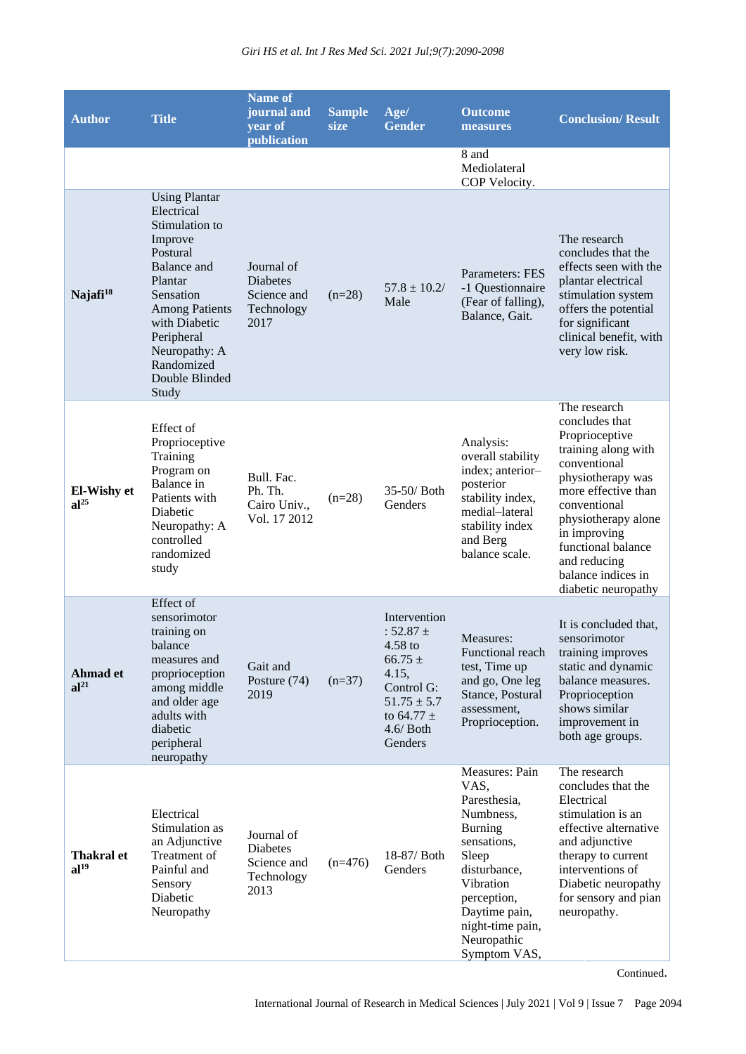| <b>Author</b>                   | <b>Title</b>                                                                                                                                                                                                                                | <b>Name of</b><br>journal and<br>year of<br>publication            | <b>Sample</b><br>size | Age/<br><b>Gender</b>                                                                                                                           | <b>Outcome</b><br>measures                                                                                                                                                                                    | <b>Conclusion/Result</b>                                                                                                                                                                                                                                                      |
|---------------------------------|---------------------------------------------------------------------------------------------------------------------------------------------------------------------------------------------------------------------------------------------|--------------------------------------------------------------------|-----------------------|-------------------------------------------------------------------------------------------------------------------------------------------------|---------------------------------------------------------------------------------------------------------------------------------------------------------------------------------------------------------------|-------------------------------------------------------------------------------------------------------------------------------------------------------------------------------------------------------------------------------------------------------------------------------|
|                                 |                                                                                                                                                                                                                                             |                                                                    |                       |                                                                                                                                                 | 8 and<br>Mediolateral<br>COP Velocity.                                                                                                                                                                        |                                                                                                                                                                                                                                                                               |
| Najafi <sup>18</sup>            | <b>Using Plantar</b><br>Electrical<br>Stimulation to<br>Improve<br>Postural<br><b>Balance</b> and<br>Plantar<br>Sensation<br><b>Among Patients</b><br>with Diabetic<br>Peripheral<br>Neuropathy: A<br>Randomized<br>Double Blinded<br>Study | Journal of<br><b>Diabetes</b><br>Science and<br>Technology<br>2017 | $(n=28)$              | $57.8 \pm 10.2/$<br>Male                                                                                                                        | Parameters: FES<br>-1 Questionnaire<br>(Fear of falling),<br>Balance, Gait.                                                                                                                                   | The research<br>concludes that the<br>effects seen with the<br>plantar electrical<br>stimulation system<br>offers the potential<br>for significant<br>clinical benefit, with<br>very low risk.                                                                                |
| El-Wishy et<br>al <sup>25</sup> | Effect of<br>Proprioceptive<br>Training<br>Program on<br>Balance in<br>Patients with<br>Diabetic<br>Neuropathy: A<br>controlled<br>randomized<br>study                                                                                      | Bull. Fac.<br>Ph. Th.<br>Cairo Univ.,<br>Vol. 17 2012              | $(n=28)$              | 35-50/ Both<br>Genders                                                                                                                          | Analysis:<br>overall stability<br>index; anterior-<br>posterior<br>stability index,<br>medial-lateral<br>stability index<br>and Berg<br>balance scale.                                                        | The research<br>concludes that<br>Proprioceptive<br>training along with<br>conventional<br>physiotherapy was<br>more effective than<br>conventional<br>physiotherapy alone<br>in improving<br>functional balance<br>and reducing<br>balance indices in<br>diabetic neuropathy |
| Ahmad et<br>al <sup>21</sup>    | Effect of<br>sensorimotor<br>training on<br>balance<br>measures and<br>proprioception<br>among middle<br>and older age<br>adults with<br>diabetic<br>peripheral<br>neuropathy                                                               | Gait and<br>Posture (74)<br>2019                                   | $(n=37)$              | Intervention<br>$: 52.87 \pm$<br>$4.58$ to<br>$66.75 \pm$<br>4.15,<br>Control G:<br>$51.75 \pm 5.7$<br>to 64.77 $\pm$<br>$4.6/$ Both<br>Genders | Measures:<br>Functional reach<br>test, Time up<br>and go, One leg<br>Stance, Postural<br>assessment,<br>Proprioception.                                                                                       | It is concluded that,<br>sensorimotor<br>training improves<br>static and dynamic<br>balance measures.<br>Proprioception<br>shows similar<br>improvement in<br>both age groups.                                                                                                |
| Thakral et<br>al <sup>19</sup>  | Electrical<br>Stimulation as<br>an Adjunctive<br>Treatment of<br>Painful and<br>Sensory<br>Diabetic<br>Neuropathy                                                                                                                           | Journal of<br><b>Diabetes</b><br>Science and<br>Technology<br>2013 | $(n=476)$             | 18-87/ Both<br>Genders                                                                                                                          | Measures: Pain<br>VAS,<br>Paresthesia,<br>Numbness,<br><b>Burning</b><br>sensations,<br>Sleep<br>disturbance,<br>Vibration<br>perception,<br>Daytime pain,<br>night-time pain,<br>Neuropathic<br>Symptom VAS, | The research<br>concludes that the<br>Electrical<br>stimulation is an<br>effective alternative<br>and adjunctive<br>therapy to current<br>interventions of<br>Diabetic neuropathy<br>for sensory and pian<br>neuropathy.                                                      |

Continued.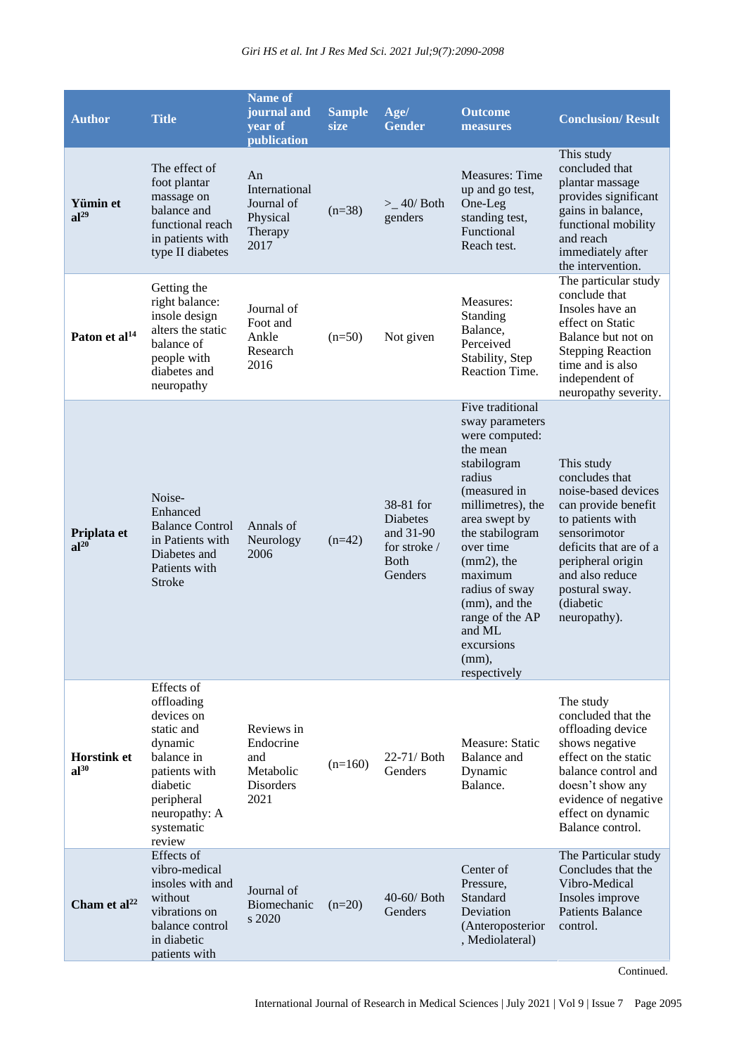| <b>Author</b>                   | <b>Title</b>                                                                                                                                                      | <b>Name of</b><br>journal and<br>year of<br>publication          | <b>Sample</b><br>size | Age/<br><b>Gender</b>                                                         | <b>Outcome</b><br>measures                                                                                                                                                                                                                                                                                             | <b>Conclusion/Result</b>                                                                                                                                                                                                        |
|---------------------------------|-------------------------------------------------------------------------------------------------------------------------------------------------------------------|------------------------------------------------------------------|-----------------------|-------------------------------------------------------------------------------|------------------------------------------------------------------------------------------------------------------------------------------------------------------------------------------------------------------------------------------------------------------------------------------------------------------------|---------------------------------------------------------------------------------------------------------------------------------------------------------------------------------------------------------------------------------|
| Yümin et<br>al <sup>29</sup>    | The effect of<br>foot plantar<br>massage on<br>balance and<br>functional reach<br>in patients with<br>type II diabetes                                            | An<br>International<br>Journal of<br>Physical<br>Therapy<br>2017 | $(n=38)$              | $>$ _40/Both<br>genders                                                       | <b>Measures: Time</b><br>up and go test,<br>One-Leg<br>standing test,<br>Functional<br>Reach test.                                                                                                                                                                                                                     | This study<br>concluded that<br>plantar massage<br>provides significant<br>gains in balance,<br>functional mobility<br>and reach<br>immediately after<br>the intervention.                                                      |
| Paton et al <sup>14</sup>       | Getting the<br>right balance:<br>insole design<br>alters the static<br>balance of<br>people with<br>diabetes and<br>neuropathy                                    | Journal of<br>Foot and<br>Ankle<br>Research<br>2016              | $(n=50)$              | Not given                                                                     | Measures:<br>Standing<br>Balance,<br>Perceived<br>Stability, Step<br>Reaction Time.                                                                                                                                                                                                                                    | The particular study<br>conclude that<br>Insoles have an<br>effect on Static<br>Balance but not on<br><b>Stepping Reaction</b><br>time and is also<br>independent of<br>neuropathy severity.                                    |
| Priplata et<br>$al^{20}$        | Noise-<br>Enhanced<br><b>Balance Control</b><br>in Patients with<br>Diabetes and<br>Patients with<br><b>Stroke</b>                                                | Annals of<br>Neurology<br>2006                                   | $(n=42)$              | 38-81 for<br>Diabetes<br>and 31-90<br>for stroke /<br><b>B</b> oth<br>Genders | Five traditional<br>sway parameters<br>were computed:<br>the mean<br>stabilogram<br>radius<br>(measured in<br>millimetres), the<br>area swept by<br>the stabilogram<br>over time<br>$(mm2)$ , the<br>maximum<br>radius of sway<br>(mm), and the<br>range of the AP<br>and ML<br>excursions<br>$(mm)$ ,<br>respectively | This study<br>concludes that<br>noise-based devices<br>can provide benefit<br>to patients with<br>sensorimotor<br>deficits that are of a<br>peripheral origin<br>and also reduce<br>postural sway.<br>(diabetic<br>neuropathy). |
| <b>Horstink et</b><br>$al^{30}$ | Effects of<br>offloading<br>devices on<br>static and<br>dynamic<br>balance in<br>patients with<br>diabetic<br>peripheral<br>neuropathy: A<br>systematic<br>review | Reviews in<br>Endocrine<br>and<br>Metabolic<br>Disorders<br>2021 | $(n=160)$             | 22-71/ Both<br>Genders                                                        | Measure: Static<br>Balance and<br>Dynamic<br>Balance.                                                                                                                                                                                                                                                                  | The study<br>concluded that the<br>offloading device<br>shows negative<br>effect on the static<br>balance control and<br>doesn't show any<br>evidence of negative<br>effect on dynamic<br>Balance control.                      |
| Cham et al <sup>22</sup>        | Effects of<br>vibro-medical<br>insoles with and<br>without<br>vibrations on<br>balance control<br>in diabetic<br>patients with                                    | Journal of<br>Biomechanic<br>s 2020                              | $(n=20)$              | 40-60/ Both<br>Genders                                                        | Center of<br>Pressure,<br>Standard<br>Deviation<br>(Anteroposterior<br>, Mediolateral)                                                                                                                                                                                                                                 | The Particular study<br>Concludes that the<br>Vibro-Medical<br>Insoles improve<br><b>Patients Balance</b><br>control.                                                                                                           |

Continued.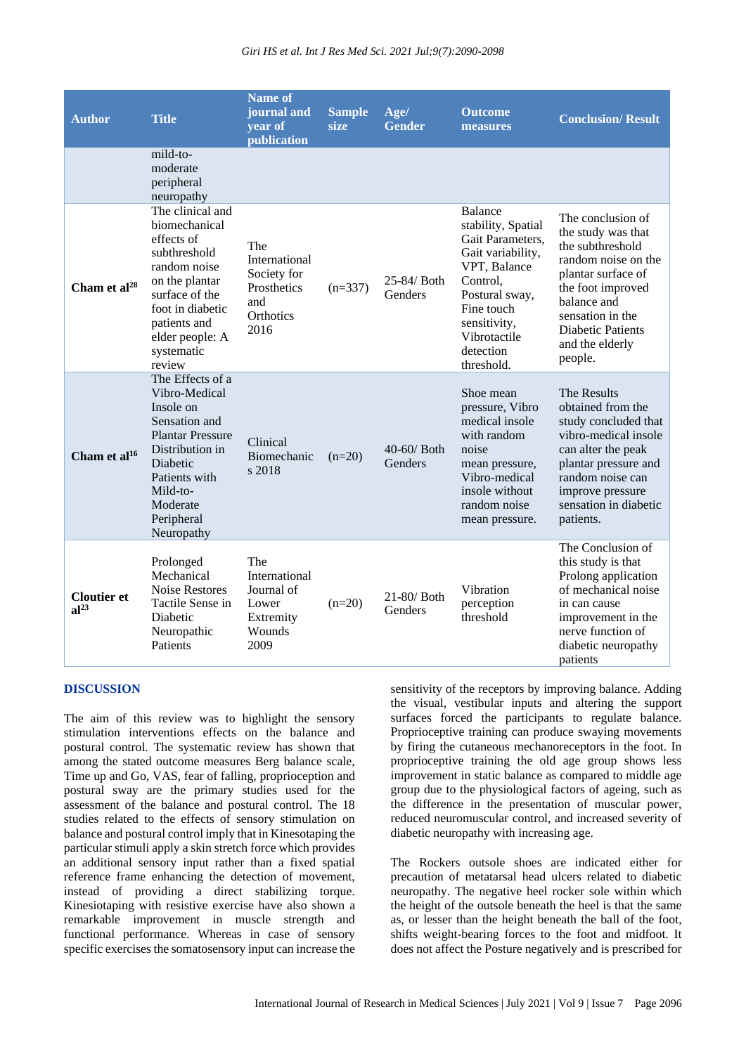| <b>Author</b>                          | <b>Title</b>                                                                                                                                                                                          | <b>Name of</b><br>journal and<br>year of<br>publication                        | <b>Sample</b><br>size | Age/<br><b>Gender</b>  | <b>Outcome</b><br>measures                                                                                                                                                                           | <b>Conclusion/Result</b>                                                                                                                                                                                                   |
|----------------------------------------|-------------------------------------------------------------------------------------------------------------------------------------------------------------------------------------------------------|--------------------------------------------------------------------------------|-----------------------|------------------------|------------------------------------------------------------------------------------------------------------------------------------------------------------------------------------------------------|----------------------------------------------------------------------------------------------------------------------------------------------------------------------------------------------------------------------------|
|                                        | mild-to-<br>moderate<br>peripheral<br>neuropathy                                                                                                                                                      |                                                                                |                       |                        |                                                                                                                                                                                                      |                                                                                                                                                                                                                            |
| Cham et al <sup>28</sup>               | The clinical and<br>biomechanical<br>effects of<br>subthreshold<br>random noise<br>on the plantar<br>surface of the<br>foot in diabetic<br>patients and<br>elder people: A<br>systematic<br>review    | The<br>International<br>Society for<br>Prosthetics<br>and<br>Orthotics<br>2016 | $(n=337)$             | 25-84/ Both<br>Genders | <b>Balance</b><br>stability, Spatial<br>Gait Parameters,<br>Gait variability,<br>VPT, Balance<br>Control,<br>Postural sway,<br>Fine touch<br>sensitivity,<br>Vibrotactile<br>detection<br>threshold. | The conclusion of<br>the study was that<br>the subthreshold<br>random noise on the<br>plantar surface of<br>the foot improved<br>balance and<br>sensation in the<br><b>Diabetic Patients</b><br>and the elderly<br>people. |
| Cham et al <sup>16</sup>               | The Effects of a<br>Vibro-Medical<br>Insole on<br>Sensation and<br><b>Plantar Pressure</b><br>Distribution in<br><b>Diabetic</b><br>Patients with<br>Mild-to-<br>Moderate<br>Peripheral<br>Neuropathy | Clinical<br>Biomechanic<br>s 2018                                              | $(n=20)$              | 40-60/ Both<br>Genders | Shoe mean<br>pressure, Vibro<br>medical insole<br>with random<br>noise<br>mean pressure,<br>Vibro-medical<br>insole without<br>random noise<br>mean pressure.                                        | The Results<br>obtained from the<br>study concluded that<br>vibro-medical insole<br>can alter the peak<br>plantar pressure and<br>random noise can<br>improve pressure<br>sensation in diabetic<br>patients.               |
| <b>Cloutier et</b><br>al <sup>23</sup> | Prolonged<br>Mechanical<br><b>Noise Restores</b><br>Tactile Sense in<br>Diabetic<br>Neuropathic<br>Patients                                                                                           | The<br>International<br>Journal of<br>Lower<br>Extremity<br>Wounds<br>2009     | $(n=20)$              | 21-80/ Both<br>Genders | Vibration<br>perception<br>threshold                                                                                                                                                                 | The Conclusion of<br>this study is that<br>Prolong application<br>of mechanical noise<br>in can cause<br>improvement in the<br>nerve function of<br>diabetic neuropathy<br>patients                                        |

#### **DISCUSSION**

The aim of this review was to highlight the sensory stimulation interventions effects on the balance and postural control. The systematic review has shown that among the stated outcome measures Berg balance scale, Time up and Go, VAS, fear of falling, proprioception and postural sway are the primary studies used for the assessment of the balance and postural control. The 18 studies related to the effects of sensory stimulation on balance and postural control imply that in Kinesotaping the particular stimuli apply a skin stretch force which provides an additional sensory input rather than a fixed spatial reference frame enhancing the detection of movement, instead of providing a direct stabilizing torque. Kinesiotaping with resistive exercise have also shown a remarkable improvement in muscle strength and functional performance. Whereas in case of sensory specific exercises the somatosensory input can increase the sensitivity of the receptors by improving balance. Adding the visual, vestibular inputs and altering the support surfaces forced the participants to regulate balance. Proprioceptive training can produce swaying movements by firing the cutaneous mechanoreceptors in the foot. In proprioceptive training the old age group shows less improvement in static balance as compared to middle age group due to the physiological factors of ageing, such as the difference in the presentation of muscular power, reduced neuromuscular control, and increased severity of diabetic neuropathy with increasing age.

The Rockers outsole shoes are indicated either for precaution of metatarsal head ulcers related to diabetic neuropathy. The negative heel rocker sole within which the height of the outsole beneath the heel is that the same as, or lesser than the height beneath the ball of the foot, shifts weight-bearing forces to the foot and midfoot. It does not affect the Posture negatively and is prescribed for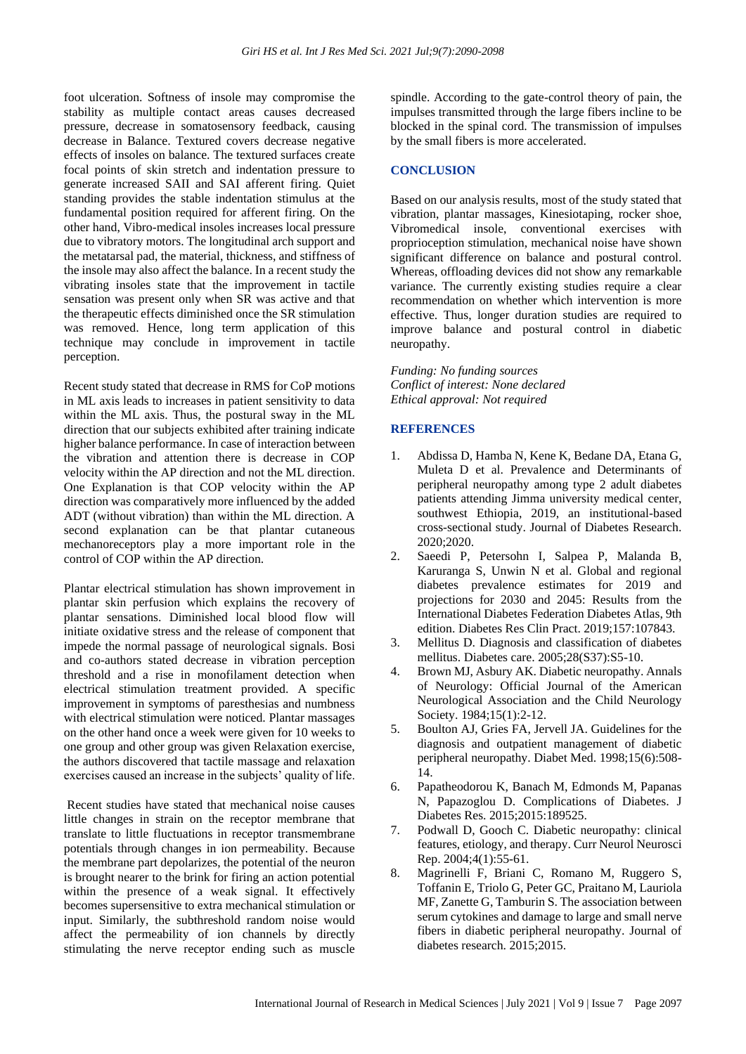foot ulceration. Softness of insole may compromise the stability as multiple contact areas causes decreased pressure, decrease in somatosensory feedback, causing decrease in Balance. Textured covers decrease negative effects of insoles on balance. The textured surfaces create focal points of skin stretch and indentation pressure to generate increased SAII and SAI afferent firing. Quiet standing provides the stable indentation stimulus at the fundamental position required for afferent firing. On the other hand, Vibro-medical insoles increases local pressure due to vibratory motors. The longitudinal arch support and the metatarsal pad, the material, thickness, and stiffness of the insole may also affect the balance. In a recent study the vibrating insoles state that the improvement in tactile sensation was present only when SR was active and that the therapeutic effects diminished once the SR stimulation was removed. Hence, long term application of this technique may conclude in improvement in tactile perception.

Recent study stated that decrease in RMS for CoP motions in ML axis leads to increases in patient sensitivity to data within the ML axis. Thus, the postural sway in the ML direction that our subjects exhibited after training indicate higher balance performance. In case of interaction between the vibration and attention there is decrease in COP velocity within the AP direction and not the ML direction. One Explanation is that COP velocity within the AP direction was comparatively more influenced by the added ADT (without vibration) than within the ML direction. A second explanation can be that plantar cutaneous mechanoreceptors play a more important role in the control of COP within the AP direction.

Plantar electrical stimulation has shown improvement in plantar skin perfusion which explains the recovery of plantar sensations. Diminished local blood flow will initiate oxidative stress and the release of component that impede the normal passage of neurological signals. Bosi and co-authors stated decrease in vibration perception threshold and a rise in monofilament detection when electrical stimulation treatment provided. A specific improvement in symptoms of paresthesias and numbness with electrical stimulation were noticed. Plantar massages on the other hand once a week were given for 10 weeks to one group and other group was given Relaxation exercise, the authors discovered that tactile massage and relaxation exercises caused an increase in the subjects' quality of life.

Recent studies have stated that mechanical noise causes little changes in strain on the receptor membrane that translate to little fluctuations in receptor transmembrane potentials through changes in ion permeability. Because the membrane part depolarizes, the potential of the neuron is brought nearer to the brink for firing an action potential within the presence of a weak signal. It effectively becomes supersensitive to extra mechanical stimulation or input. Similarly, the subthreshold random noise would affect the permeability of ion channels by directly stimulating the nerve receptor ending such as muscle spindle. According to the gate-control theory of pain, the impulses transmitted through the large fibers incline to be blocked in the spinal cord. The transmission of impulses by the small fibers is more accelerated.

## **CONCLUSION**

Based on our analysis results, most of the study stated that vibration, plantar massages, Kinesiotaping, rocker shoe, Vibromedical insole, conventional exercises with proprioception stimulation, mechanical noise have shown significant difference on balance and postural control. Whereas, offloading devices did not show any remarkable variance. The currently existing studies require a clear recommendation on whether which intervention is more effective. Thus, longer duration studies are required to improve balance and postural control in diabetic neuropathy.

*Funding: No funding sources Conflict of interest: None declared Ethical approval: Not required*

#### **REFERENCES**

- 1. Abdissa D, Hamba N, Kene K, Bedane DA, Etana G, Muleta D et al. Prevalence and Determinants of peripheral neuropathy among type 2 adult diabetes patients attending Jimma university medical center, southwest Ethiopia, 2019, an institutional-based cross-sectional study. Journal of Diabetes Research. 2020;2020.
- 2. Saeedi P, Petersohn I, Salpea P, Malanda B, Karuranga S, Unwin N et al. Global and regional diabetes prevalence estimates for 2019 and projections for 2030 and 2045: Results from the International Diabetes Federation Diabetes Atlas, 9th edition. Diabetes Res Clin Pract. 2019;157:107843.
- 3. Mellitus D. Diagnosis and classification of diabetes mellitus. Diabetes care. 2005;28(S37):S5-10.
- 4. Brown MJ, Asbury AK. Diabetic neuropathy. Annals of Neurology: Official Journal of the American Neurological Association and the Child Neurology Society. 1984;15(1):2-12.
- 5. Boulton AJ, Gries FA, Jervell JA. Guidelines for the diagnosis and outpatient management of diabetic peripheral neuropathy. Diabet Med. 1998;15(6):508- 14.
- 6. Papatheodorou K, Banach M, Edmonds M, Papanas N, Papazoglou D. Complications of Diabetes. J Diabetes Res. 2015;2015:189525.
- 7. Podwall D, Gooch C. Diabetic neuropathy: clinical features, etiology, and therapy. Curr Neurol Neurosci Rep. 2004;4(1):55-61.
- 8. Magrinelli F, Briani C, Romano M, Ruggero S, Toffanin E, Triolo G, Peter GC, Praitano M, Lauriola MF, Zanette G, Tamburin S. The association between serum cytokines and damage to large and small nerve fibers in diabetic peripheral neuropathy. Journal of diabetes research. 2015;2015.